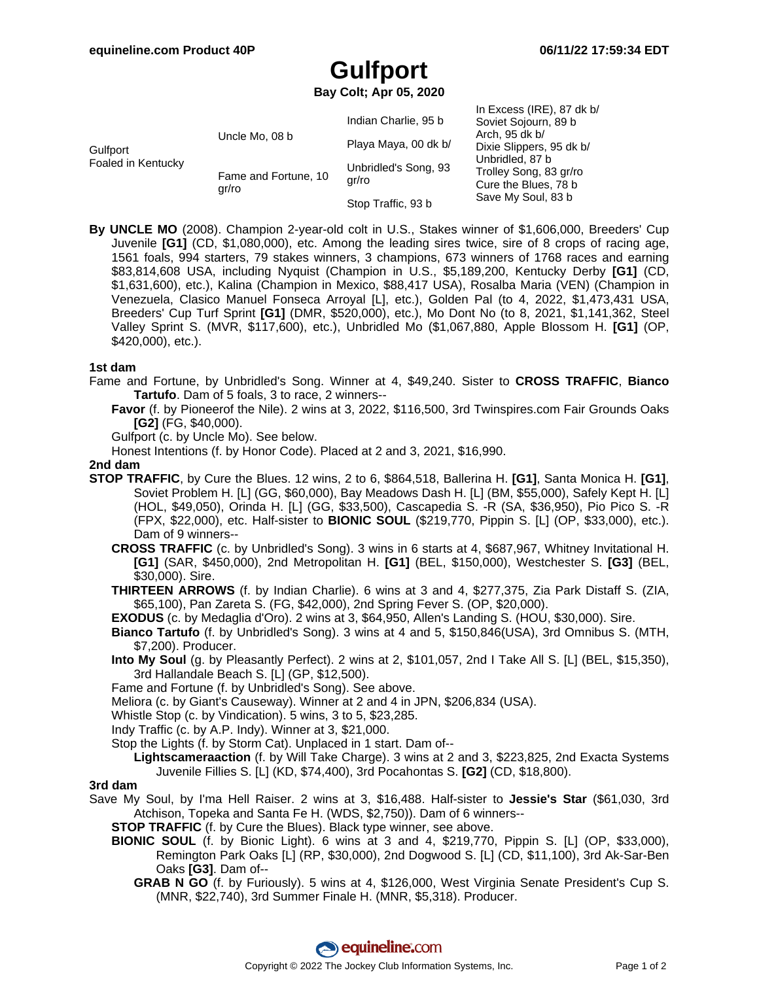# **Gulfport**

**Bay Colt; Apr 05, 2020**

| Gulfport<br>Foaled in Kentucky | Uncle Mo, 08 b                | Indian Charlie, 95 b          | In Excess (IRE), 87 dk b/<br>Soviet Sojourn, 89 b<br>Arch, 95 dk b/<br>Dixie Slippers, 95 dk b/<br>Unbridled, 87 b<br>Trolley Song, 83 gr/ro<br>Cure the Blues, 78 b<br>Save My Soul, 83 b |
|--------------------------------|-------------------------------|-------------------------------|--------------------------------------------------------------------------------------------------------------------------------------------------------------------------------------------|
|                                |                               | Playa Maya, 00 dk b/          |                                                                                                                                                                                            |
|                                | Fame and Fortune, 10<br>gr/ro | Unbridled's Song, 93<br>qr/ro |                                                                                                                                                                                            |
|                                |                               | Stop Traffic, 93 b            |                                                                                                                                                                                            |

**By UNCLE MO** (2008). Champion 2-year-old colt in U.S., Stakes winner of \$1,606,000, Breeders' Cup Juvenile **[G1]** (CD, \$1,080,000), etc. Among the leading sires twice, sire of 8 crops of racing age, 1561 foals, 994 starters, 79 stakes winners, 3 champions, 673 winners of 1768 races and earning \$83,814,608 USA, including Nyquist (Champion in U.S., \$5,189,200, Kentucky Derby **[G1]** (CD, \$1,631,600), etc.), Kalina (Champion in Mexico, \$88,417 USA), Rosalba Maria (VEN) (Champion in Venezuela, Clasico Manuel Fonseca Arroyal [L], etc.), Golden Pal (to 4, 2022, \$1,473,431 USA, Breeders' Cup Turf Sprint **[G1]** (DMR, \$520,000), etc.), Mo Dont No (to 8, 2021, \$1,141,362, Steel Valley Sprint S. (MVR, \$117,600), etc.), Unbridled Mo (\$1,067,880, Apple Blossom H. **[G1]** (OP, \$420,000), etc.).

#### **1st dam**

- Fame and Fortune, by Unbridled's Song. Winner at 4, \$49,240. Sister to **CROSS TRAFFIC**, **Bianco Tartufo**. Dam of 5 foals, 3 to race, 2 winners--
	- **Favor** (f. by Pioneerof the Nile). 2 wins at 3, 2022, \$116,500, 3rd Twinspires.com Fair Grounds Oaks **[G2]** (FG, \$40,000).
	- Gulfport (c. by Uncle Mo). See below.
	- Honest Intentions (f. by Honor Code). Placed at 2 and 3, 2021, \$16,990.

#### **2nd dam**

- **STOP TRAFFIC**, by Cure the Blues. 12 wins, 2 to 6, \$864,518, Ballerina H. **[G1]**, Santa Monica H. **[G1]**, Soviet Problem H. [L] (GG, \$60,000), Bay Meadows Dash H. [L] (BM, \$55,000), Safely Kept H. [L] (HOL, \$49,050), Orinda H. [L] (GG, \$33,500), Cascapedia S. -R (SA, \$36,950), Pio Pico S. -R (FPX, \$22,000), etc. Half-sister to **BIONIC SOUL** (\$219,770, Pippin S. [L] (OP, \$33,000), etc.). Dam of 9 winners--
	- **CROSS TRAFFIC** (c. by Unbridled's Song). 3 wins in 6 starts at 4, \$687,967, Whitney Invitational H. **[G1]** (SAR, \$450,000), 2nd Metropolitan H. **[G1]** (BEL, \$150,000), Westchester S. **[G3]** (BEL, \$30,000). Sire.
	- **THIRTEEN ARROWS** (f. by Indian Charlie). 6 wins at 3 and 4, \$277,375, Zia Park Distaff S. (ZIA, \$65,100), Pan Zareta S. (FG, \$42,000), 2nd Spring Fever S. (OP, \$20,000).
	- **EXODUS** (c. by Medaglia d'Oro). 2 wins at 3, \$64,950, Allen's Landing S. (HOU, \$30,000). Sire.
	- **Bianco Tartufo** (f. by Unbridled's Song). 3 wins at 4 and 5, \$150,846(USA), 3rd Omnibus S. (MTH, \$7,200). Producer.
	- **Into My Soul** (g. by Pleasantly Perfect). 2 wins at 2, \$101,057, 2nd I Take All S. [L] (BEL, \$15,350), 3rd Hallandale Beach S. [L] (GP, \$12,500).
	- Fame and Fortune (f. by Unbridled's Song). See above.
	- Meliora (c. by Giant's Causeway). Winner at 2 and 4 in JPN, \$206,834 (USA).
	- Whistle Stop (c. by Vindication). 5 wins, 3 to 5, \$23,285.
	- Indy Traffic (c. by A.P. Indy). Winner at 3, \$21,000.
	- Stop the Lights (f. by Storm Cat). Unplaced in 1 start. Dam of--
		- **Lightscameraaction** (f. by Will Take Charge). 3 wins at 2 and 3, \$223,825, 2nd Exacta Systems Juvenile Fillies S. [L] (KD, \$74,400), 3rd Pocahontas S. **[G2]** (CD, \$18,800).

#### **3rd dam**

- Save My Soul, by I'ma Hell Raiser. 2 wins at 3, \$16,488. Half-sister to **Jessie's Star** (\$61,030, 3rd Atchison, Topeka and Santa Fe H. (WDS, \$2,750)). Dam of 6 winners--
	- **STOP TRAFFIC** (f. by Cure the Blues). Black type winner, see above.
	- **BIONIC SOUL** (f. by Bionic Light). 6 wins at 3 and 4, \$219,770, Pippin S. [L] (OP, \$33,000), Remington Park Oaks [L] (RP, \$30,000), 2nd Dogwood S. [L] (CD, \$11,100), 3rd Ak-Sar-Ben Oaks **[G3]**. Dam of--
		- **GRAB N GO** (f. by Furiously). 5 wins at 4, \$126,000, West Virginia Senate President's Cup S. (MNR, \$22,740), 3rd Summer Finale H. (MNR, \$5,318). Producer.